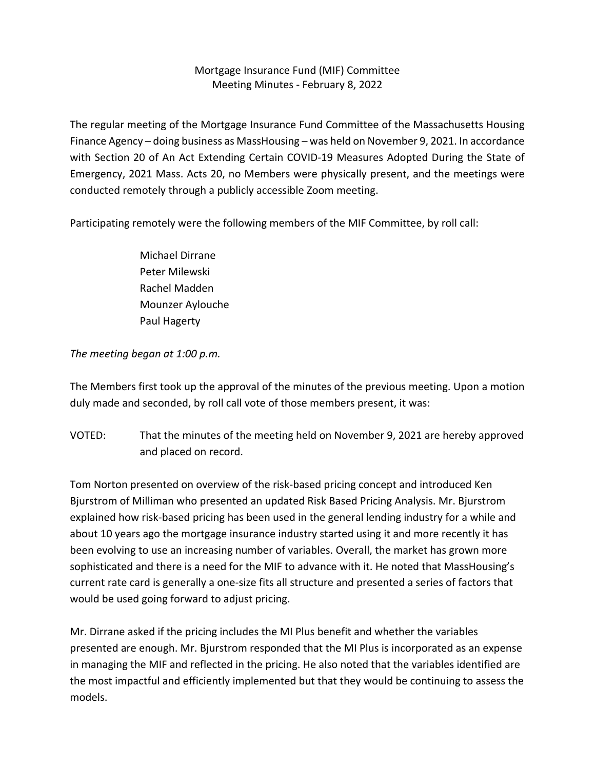## Mortgage Insurance Fund (MIF) Committee Meeting Minutes ‐ February 8, 2022

The regular meeting of the Mortgage Insurance Fund Committee of the Massachusetts Housing Finance Agency – doing business as MassHousing – was held on November 9, 2021. In accordance with Section 20 of An Act Extending Certain COVID-19 Measures Adopted During the State of Emergency, 2021 Mass. Acts 20, no Members were physically present, and the meetings were conducted remotely through a publicly accessible Zoom meeting.

Participating remotely were the following members of the MIF Committee, by roll call:

Michael Dirrane Peter Milewski Rachel Madden Mounzer Aylouche Paul Hagerty

## *The meeting began at 1:00 p.m.*

The Members first took up the approval of the minutes of the previous meeting. Upon a motion duly made and seconded, by roll call vote of those members present, it was:

VOTED: That the minutes of the meeting held on November 9, 2021 are hereby approved and placed on record.

Tom Norton presented on overview of the risk‐based pricing concept and introduced Ken Bjurstrom of Milliman who presented an updated Risk Based Pricing Analysis. Mr. Bjurstrom explained how risk‐based pricing has been used in the general lending industry for a while and about 10 years ago the mortgage insurance industry started using it and more recently it has been evolving to use an increasing number of variables. Overall, the market has grown more sophisticated and there is a need for the MIF to advance with it. He noted that MassHousing's current rate card is generally a one‐size fits all structure and presented a series of factors that would be used going forward to adjust pricing.

Mr. Dirrane asked if the pricing includes the MI Plus benefit and whether the variables presented are enough. Mr. Bjurstrom responded that the MI Plus is incorporated as an expense in managing the MIF and reflected in the pricing. He also noted that the variables identified are the most impactful and efficiently implemented but that they would be continuing to assess the models.